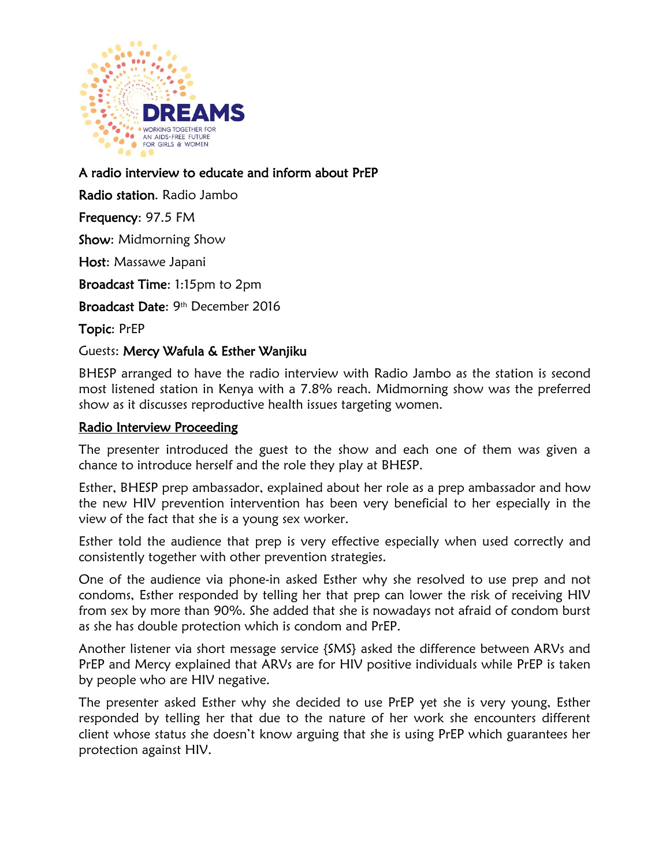

A radio interview to educate and inform about PrEP

Radio station. Radio Jambo

Frequency: 97.5 FM

Show: Midmorning Show

Host: Massawe Japani

Broadcast Time: 1:15pm to 2pm

Broadcast Date: 9<sup>th</sup> December 2016

Topic: PrEP

## Guests: Mercy Wafula & Esther Wanjiku

BHESP arranged to have the radio interview with Radio Jambo as the station is second most listened station in Kenya with a 7.8% reach. Midmorning show was the preferred show as it discusses reproductive health issues targeting women.

## Radio Interview Proceeding

The presenter introduced the guest to the show and each one of them was given a chance to introduce herself and the role they play at BHESP.

Esther, BHESP prep ambassador, explained about her role as a prep ambassador and how the new HIV prevention intervention has been very beneficial to her especially in the view of the fact that she is a young sex worker.

Esther told the audience that prep is very effective especially when used correctly and consistently together with other prevention strategies.

One of the audience via phone-in asked Esther why she resolved to use prep and not condoms, Esther responded by telling her that prep can lower the risk of receiving HIV from sex by more than 90%. She added that she is nowadays not afraid of condom burst as she has double protection which is condom and PrEP.

Another listener via short message service {SMS} asked the difference between ARVs and PrEP and Mercy explained that ARVs are for HIV positive individuals while PrEP is taken by people who are HIV negative.

The presenter asked Esther why she decided to use PrEP yet she is very young, Esther responded by telling her that due to the nature of her work she encounters different client whose status she doesn't know arguing that she is using PrEP which guarantees her protection against HIV.